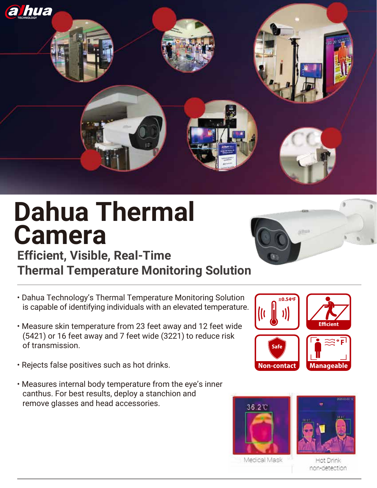

# **Dahua Thermal Camera**

**Efficient, Visible, Real-Time Thermal Temperature Monitoring Solution**

- Dahua Technology's Thermal Temperature Monitoring Solution is capable of identifying individuals with an elevated temperature.
- Measure skin temperature from 23 feet away and 12 feet wide (5421) or 16 feet away and 7 feet wide (3221) to reduce risk of transmission.
- Rejects false positives such as hot drinks.
- Measures internal body temperature from the eye's inner canthus. For best results, deploy a stanchion and remove glasses and head accessories.



Medical Mask



Hot Drink non-detection